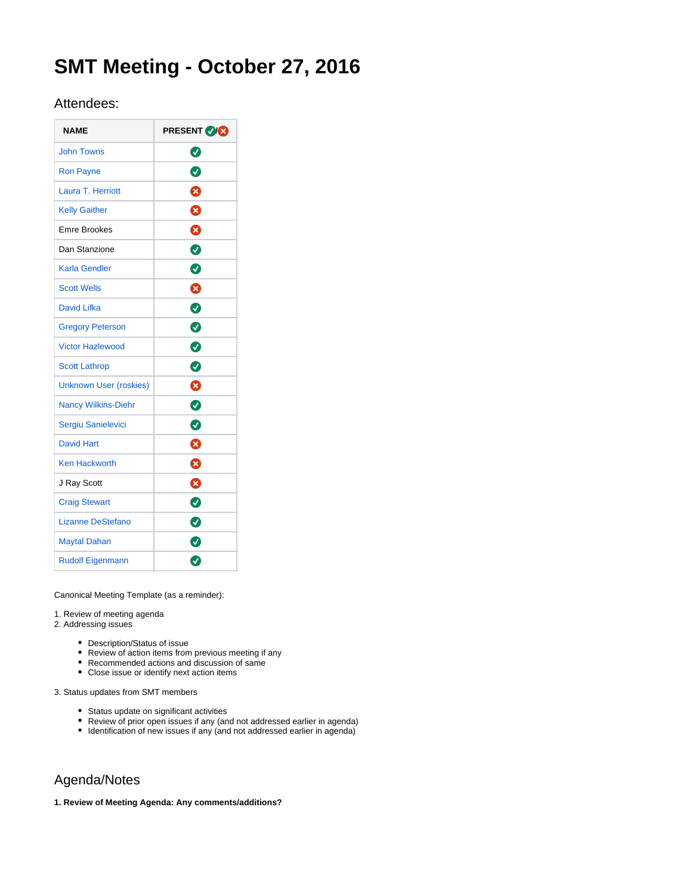# **SMT Meeting - October 27, 2016**

# Attendees:

| <b>NAME</b>                   | <b>PRESENT OR</b> |
|-------------------------------|-------------------|
| <b>John Towns</b>             | Ø                 |
| <b>Ron Payne</b>              | Ø                 |
| Laura T. Herriott             | ظ                 |
| <b>Kelly Gaither</b>          | ⊗                 |
| <b>Emre Brookes</b>           | ☺                 |
| Dan Stanzione                 | Ø                 |
| Karla Gendler                 | $\bullet$         |
| <b>Scott Wells</b>            | Ø                 |
| <b>David Lifka</b>            | $\bullet$         |
| <b>Gregory Peterson</b>       | $\bullet$         |
| <b>Victor Hazlewood</b>       | $\bullet$         |
| <b>Scott Lathrop</b>          | ◙                 |
| <b>Unknown User (roskies)</b> | 0                 |
| <b>Nancy Wilkins-Diehr</b>    | ◙                 |
| Sergiu Sanielevici            | Ø                 |
| <b>David Hart</b>             | ೞ                 |
| <b>Ken Hackworth</b>          | ⊗                 |
| J Ray Scott                   | ⊗                 |
| <b>Craig Stewart</b>          | $\bullet$         |
| Lizanne DeStefano             | ◙                 |
| <b>Maytal Dahan</b>           | $\bullet$         |
| <b>Rudolf Eigenmann</b>       | Ø                 |

Canonical Meeting Template (as a reminder):

1. Review of meeting agenda

2. Addressing issues

- Description/Status of issue
- Review of action items from previous meeting if any
- Recommended actions and discussion of same
- Close issue or identify next action items

3. Status updates from SMT members

- Status update on significant activities
- Review of prior open issues if any (and not addressed earlier in agenda)
- $\bullet$  Identification of new issues if any (and not addressed earlier in agenda)

# Agenda/Notes

**1. Review of Meeting Agenda: Any comments/additions?**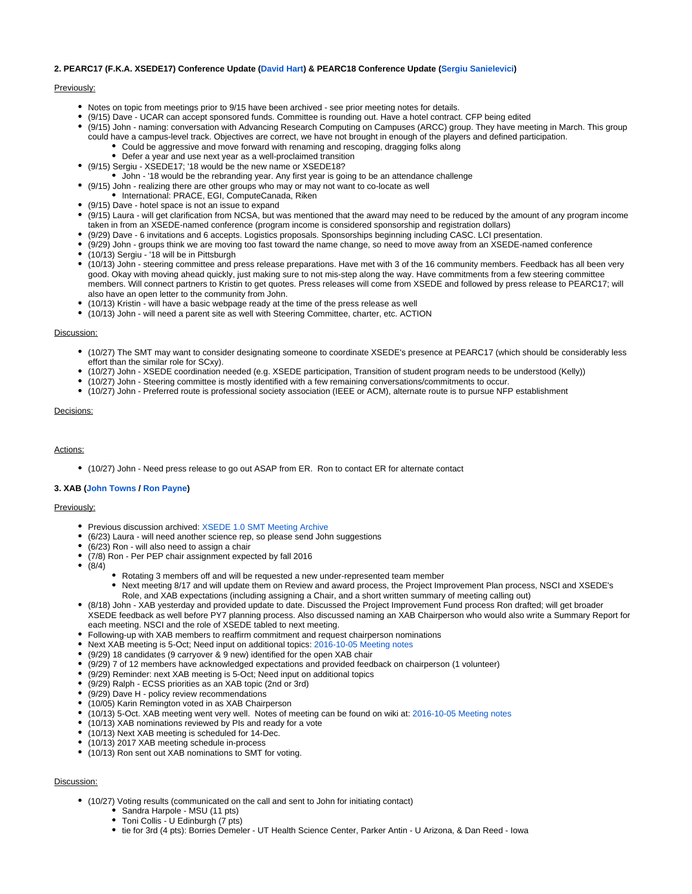## **2. PEARC17 (F.K.A. XSEDE17) Conference Update ([David Hart](https://confluence.xsede.org/display/~davidlh)) & PEARC18 Conference Update ([Sergiu Sanielevici\)](https://confluence.xsede.org/display/~sergiu)**

#### Previously:

- Notes on topic from meetings prior to 9/15 have been archived see prior meeting notes for details.
- (9/15) Dave UCAR can accept sponsored funds. Committee is rounding out. Have a hotel contract. CFP being edited
- (9/15) John naming: conversation with Advancing Research Computing on Campuses (ARCC) group. They have meeting in March. This group could have a campus-level track. Objectives are correct, we have not brought in enough of the players and defined participation.
	- Could be aggressive and move forward with renaming and rescoping, dragging folks along
	- Defer a year and use next year as a well-proclaimed transition
- (9/15) Sergiu XSEDE17; '18 would be the new name or XSEDE18?
- John '18 would be the rebranding year. Any first year is going to be an attendance challenge
- (9/15) John realizing there are other groups who may or may not want to co-locate as well
- $\bullet$  International: PRACE, EGI, ComputeCanada, Riken
- (9/15) Dave hotel space is not an issue to expand
- (9/15) Laura will get clarification from NCSA, but was mentioned that the award may need to be reduced by the amount of any program income taken in from an XSEDE-named conference (program income is considered sponsorship and registration dollars)
- (9/29) Dave 6 invitations and 6 accepts. Logistics proposals. Sponsorships beginning including CASC. LCI presentation.
- (9/29) John groups think we are moving too fast toward the name change, so need to move away from an XSEDE-named conference
- (10/13) Sergiu '18 will be in Pittsburgh
- (10/13) John steering committee and press release preparations. Have met with 3 of the 16 community members. Feedback has all been very good. Okay with moving ahead quickly, just making sure to not mis-step along the way. Have commitments from a few steering committee members. Will connect partners to Kristin to get quotes. Press releases will come from XSEDE and followed by press release to PEARC17; will also have an open letter to the community from John.
- (10/13) Kristin will have a basic webpage ready at the time of the press release as well
- (10/13) John will need a parent site as well with Steering Committee, charter, etc. ACTION

#### Discussion:

- (10/27) The SMT may want to consider designating someone to coordinate XSEDE's presence at PEARC17 (which should be considerably less effort than the similar role for SCxy).
- (10/27) John XSEDE coordination needed (e.g. XSEDE participation, Transition of student program needs to be understood (Kelly))
- (10/27) John Steering committee is mostly identified with a few remaining conversations/commitments to occur.
- (10/27) John Preferred route is professional society association (IEEE or ACM), alternate route is to pursue NFP establishment

### Decisions:

#### Actions:

(10/27) John - Need press release to go out ASAP from ER. Ron to contact ER for alternate contact

#### **3. XAB ([John Towns](https://confluence.xsede.org/display/~jtowns) / [Ron Payne\)](https://confluence.xsede.org/display/~rpayne)**

# Previously:

- Previous discussion archived: [XSEDE 1.0 SMT Meeting Archive](https://www.xsede.org/web/staff/staff-wiki/-/wiki/Main/Senior+Management+Team+%28SMT%29%20Meetings)
- (6/23) Laura will need another science rep, so please send John suggestions
- (6/23) Ron will also need to assign a chair
- $\bullet$ (7/8) Ron - Per PEP chair assignment expected by fall 2016
- $\bullet$ (8/4)
	- Rotating 3 members off and will be requested a new under-represented team member
		- Next meeting 8/17 and will update them on Review and award process, the Project Improvement Plan process, NSCI and XSEDE's Role, and XAB expectations (including assigning a Chair, and a short written summary of meeting calling out)
- (8/18) John XAB yesterday and provided update to date. Discussed the Project Improvement Fund process Ron drafted; will get broader XSEDE feedback as well before PY7 planning process. Also discussed naming an XAB Chairperson who would also write a Summary Report for each meeting. NSCI and the role of XSEDE tabled to next meeting.
- Following-up with XAB members to reaffirm commitment and request chairperson nominations
- Next XAB meeting is 5-Oct; Need input on additional topics: [2016-10-05 Meeting notes](https://confluence.xsede.org/display/XT/2016-10-05+Meeting+notes)
- (9/29) 18 candidates (9 carryover & 9 new) identified for the open XAB chair
- (9/29) 7 of 12 members have acknowledged expectations and provided feedback on chairperson (1 volunteer)
- (9/29) Reminder: next XAB meeting is 5-Oct; Need input on additional topics
- (9/29) Ralph ECSS priorities as an XAB topic (2nd or 3rd)
- (9/29) Dave H policy review recommendations
- (10/05) Karin Remington voted in as XAB Chairperson
- (10/13) 5-Oct. XAB meeting went very well. Notes of meeting can be found on wiki at: [2016-10-05 Meeting notes](https://confluence.xsede.org/display/XT/2016-10-05+Meeting+notes)
- (10/13) XAB nominations reviewed by PIs and ready for a vote
- (10/13) Next XAB meeting is scheduled for 14-Dec.
- (10/13) 2017 XAB meeting schedule in-process
- (10/13) Ron sent out XAB nominations to SMT for voting.

# Discussion:

- (10/27) Voting results (communicated on the call and sent to John for initiating contact)
	- Sandra Harpole MSU (11 pts)
	- Toni Collis U Edinburgh (7 pts)
	- tie for 3rd (4 pts): Borries Demeler UT Health Science Center, Parker Antin U Arizona, & Dan Reed Iowa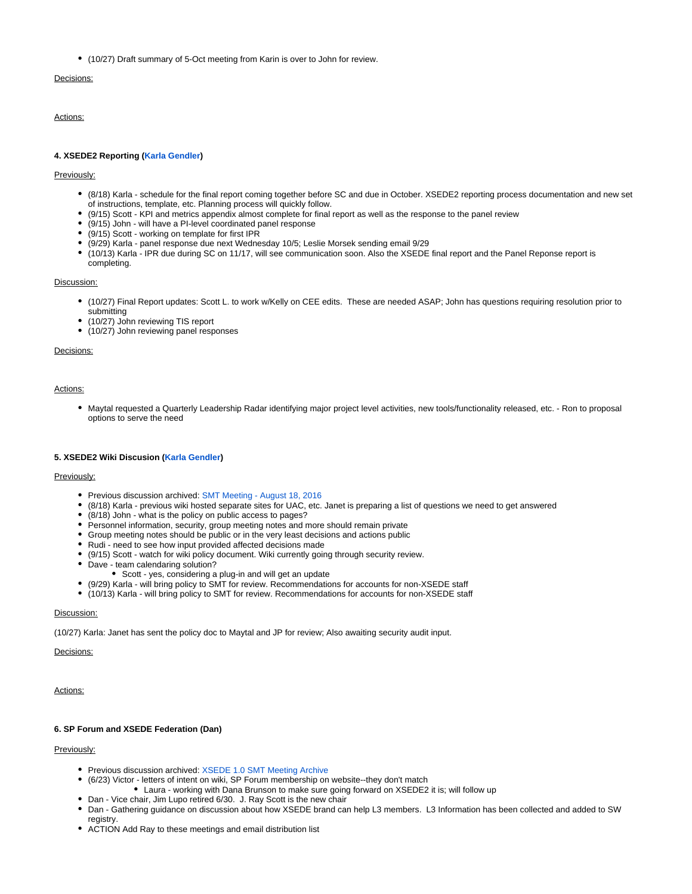(10/27) Draft summary of 5-Oct meeting from Karin is over to John for review.

# Decisions:

Actions:

# **4. XSEDE2 Reporting [\(Karla Gendler](https://confluence.xsede.org/display/~gendlerk))**

#### Previously:

- (8/18) Karla schedule for the final report coming together before SC and due in October. XSEDE2 reporting process documentation and new set of instructions, template, etc. Planning process will quickly follow.
- (9/15) Scott KPI and metrics appendix almost complete for final report as well as the response to the panel review
- (9/15) John will have a PI-level coordinated panel response
- (9/15) Scott working on template for first IPR
- (9/29) Karla panel response due next Wednesday 10/5; Leslie Morsek sending email 9/29
- (10/13) Karla IPR due during SC on 11/17, will see communication soon. Also the XSEDE final report and the Panel Reponse report is completing.

#### Discussion:

- (10/27) Final Report updates: Scott L. to work w/Kelly on CEE edits. These are needed ASAP; John has questions requiring resolution prior to submitting
- (10/27) John reviewing TIS report
- (10/27) John reviewing panel responses

Decisions:

#### Actions:

Maytal requested a Quarterly Leadership Radar identifying major project level activities, new tools/functionality released, etc. - Ron to proposal options to serve the need

#### **5. XSEDE2 Wiki Discusion ([Karla Gendler](https://confluence.xsede.org/display/~gendlerk))**

#### Previously:

- Previous discussion archived: [SMT Meeting August 18, 2016](https://confluence.xsede.org/display/XT/SMT+Meeting+-+August+18%2C+2016)
- (8/18) Karla previous wiki hosted separate sites for UAC, etc. Janet is preparing a list of questions we need to get answered
- (8/18) John what is the policy on public access to pages?
- Personnel information, security, group meeting notes and more should remain private
- Group meeting notes should be public or in the very least decisions and actions public
- Rudi need to see how input provided affected decisions made
- (9/15) Scott watch for wiki policy document. Wiki currently going through security review.
- Dave team calendaring solution?
	- Scott yes, considering a plug-in and will get an update
- (9/29) Karla will bring policy to SMT for review. Recommendations for accounts for non-XSEDE staff
- (10/13) Karla will bring policy to SMT for review. Recommendations for accounts for non-XSEDE staff

# Discussion:

(10/27) Karla: Janet has sent the policy doc to Maytal and JP for review; Also awaiting security audit input.

# Decisions:

#### Actions:

#### **6. SP Forum and XSEDE Federation (Dan)**

# Previously:

- Previous discussion archived: [XSEDE 1.0 SMT Meeting Archive](https://www.xsede.org/web/staff/staff-wiki/-/wiki/Main/Senior+Management+Team+%28SMT%29%20Meetings)
- (6/23) Victor letters of intent on wiki, SP Forum membership on website--they don't match
- Laura working with Dana Brunson to make sure going forward on XSEDE2 it is; will follow up Dan - Vice chair, Jim Lupo retired 6/30. J. Ray Scott is the new chair
- Dan Gathering guidance on discussion about how XSEDE brand can help L3 members. L3 Information has been collected and added to SW registry.
- ACTION Add Ray to these meetings and email distribution list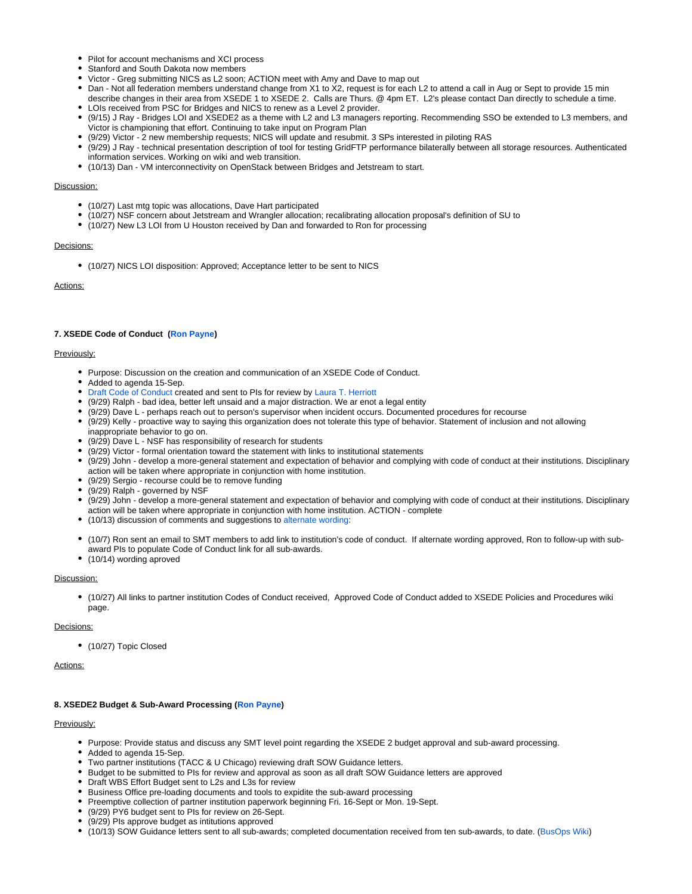- Pilot for account mechanisms and XCI process
- **Stanford and South Dakota now members**
- Victor Greg submitting NICS as L2 soon; ACTION meet with Amy and Dave to map out
- Dan Not all federation members understand change from X1 to X2, request is for each L2 to attend a call in Aug or Sept to provide 15 min describe changes in their area from XSEDE 1 to XSEDE 2. Calls are Thurs. @ 4pm ET. L2's please contact Dan directly to schedule a time.
- LOIs received from PSC for Bridges and NICS to renew as a Level 2 provider.
- (9/15) J Ray Bridges LOI and XSEDE2 as a theme with L2 and L3 managers reporting. Recommending SSO be extended to L3 members, and Victor is championing that effort. Continuing to take input on Program Plan
- (9/29) Victor 2 new membership requests; NICS will update and resubmit. 3 SPs interested in piloting RAS
- (9/29) J Ray technical presentation description of tool for testing GridFTP performance bilaterally between all storage resources. Authenticated information services. Working on wiki and web transition.
- (10/13) Dan VM interconnectivity on OpenStack between Bridges and Jetstream to start.

#### Discussion:

- (10/27) Last mtg topic was allocations, Dave Hart participated
- (10/27) NSF concern about Jetstream and Wrangler allocation; recalibrating allocation proposal's definition of SU to
- (10/27) New L3 LOI from U Houston received by Dan and forwarded to Ron for processing

#### Decisions:

(10/27) NICS LOI disposition: Approved; Acceptance letter to be sent to NICS

# Actions:

# **7. XSEDE Code of Conduct ([Ron Payne\)](https://confluence.xsede.org/display/~rpayne)**

#### Previously:

- Purpose: Discussion on the creation and communication of an XSEDE Code of Conduct.
- Added to agenda 15-Sep.
- [Draft Code of Conduct c](https://docs.google.com/document/d/1KYHGVntDDL6VSCApbYx-uQZE66fDEFV8D2w9fznrQAs/edit#heading=h.qscfemc28qmt)reated and sent to PIs for review by [Laura T. Herriott](https://confluence.xsede.org/display/~herrio)
- (9/29) Ralph bad idea, better left unsaid and a major distraction. We ar enot a legal entity
- (9/29) Dave L perhaps reach out to person's supervisor when incident occurs. Documented procedures for recourse
- (9/29) Kelly proactive way to saying this organization does not tolerate this type of behavior. Statement of inclusion and not allowing
- inappropriate behavior to go on.
- (9/29) Dave L NSF has responsibility of research for students
- (9/29) Victor formal orientation toward the statement with links to institutional statements
- (9/29) John develop a more-general statement and expectation of behavior and complying with code of conduct at their institutions. Disciplinary action will be taken where appropriate in conjunction with home institution.
- (9/29) Sergio recourse could be to remove funding
- (9/29) Ralph governed by NSF
- (9/29) John develop a more-general statement and expectation of behavior and complying with code of conduct at their institutions. Disciplinary action will be taken where appropriate in conjunction with home institution. ACTION - complete
- (10/13) discussion of comments and suggestions to [alternate wording:](https://docs.google.com/document/d/1KYHGVntDDL6VSCApbYx-uQZE66fDEFV8D2w9fznrQAs/edit)
- (10/7) Ron sent an email to SMT members to add link to institution's code of conduct. If alternate wording approved, Ron to follow-up with subaward PIs to populate Code of Conduct link for all sub-awards.
- (10/14) wording aproved

### Discussion:

(10/27) All links to partner institution Codes of Conduct received, Approved Code of Conduct added to XSEDE Policies and Procedures wiki page.

#### Decisions:

(10/27) Topic Closed

# Actions:

## **8. XSEDE2 Budget & Sub-Award Processing [\(Ron Payne\)](https://confluence.xsede.org/display/~rpayne)**

## Previously:

- Purpose: Provide status and discuss any SMT level point regarding the XSEDE 2 budget approval and sub-award processing.
- Added to agenda 15-Sep.
- Two partner institutions (TACC & U Chicago) reviewing draft SOW Guidance letters.
- Budget to be submitted to PIs for review and approval as soon as all draft SOW Guidance letters are approved
- Draft WBS Effort Budget sent to L2s and L3s for review
- Business Office pre-loading documents and tools to expidite the sub-award processing
- Preemptive collection of partner institution paperwork beginning Fri. 16-Sept or Mon. 19-Sept.
- (9/29) PY6 budget sent to PIs for review on 26-Sept.
- (9/29) PIs approve budget as intitutions approved
- (10/13) SOW Guidance letters sent to all sub-awards; completed documentation received from ten sub-awards, to date. [\(BusOps Wiki](https://confluence.xsede.org/display/XT/WBS+2.6.4+Business+Operations))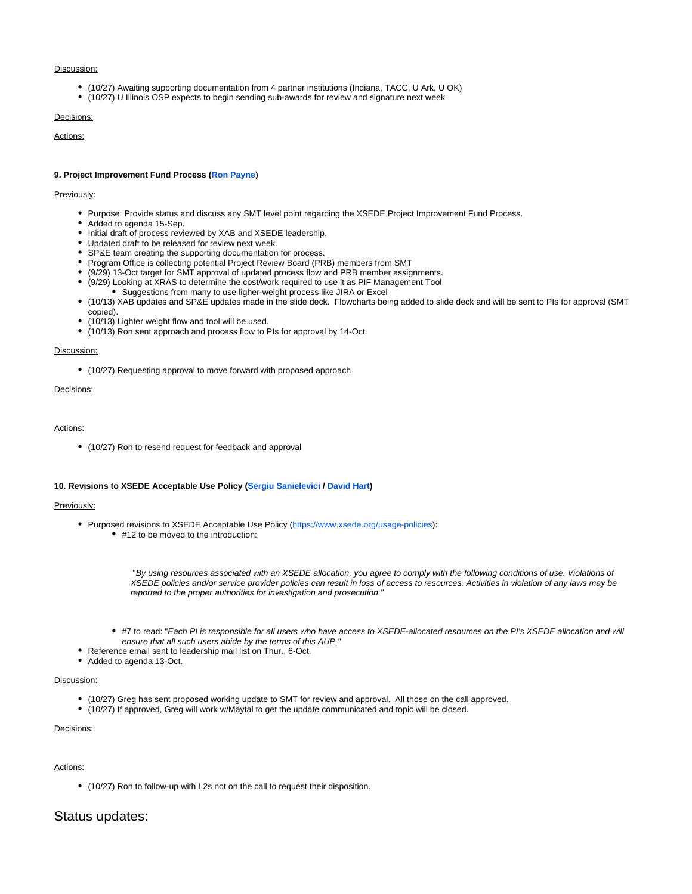## Discussion:

- (10/27) Awaiting supporting documentation from 4 partner institutions (Indiana, TACC, U Ark, U OK)
- (10/27) U Illinois OSP expects to begin sending sub-awards for review and signature next week

# Decisions:

Actions:

#### **9. Project Improvement Fund Process [\(Ron Payne](https://confluence.xsede.org/display/~rpayne))**

## Previously:

- Purpose: Provide status and discuss any SMT level point regarding the XSEDE Project Improvement Fund Process.
- Added to agenda 15-Sep.
- Initial draft of process reviewed by XAB and XSEDE leadership.
- Updated draft to be released for review next week.
- SP&E team creating the supporting documentation for process.
- Program Office is collecting potential Project Review Board (PRB) members from SMT
- (9/29) 13-Oct target for SMT approval of updated process flow and PRB member assignments.
- (9/29) Looking at XRAS to determine the cost/work required to use it as PIF Management Tool
	- Suggestions from many to use ligher-weight process like JIRA or Excel
- (10/13) XAB updates and SP&E updates made in the slide deck. Flowcharts being added to slide deck and will be sent to PIs for approval (SMT copied).
- (10/13) Lighter weight flow and tool will be used.
- (10/13) Ron sent approach and process flow to PIs for approval by 14-Oct.

#### Discussion:

(10/27) Requesting approval to move forward with proposed approach

# Decisions:

#### Actions:

(10/27) Ron to resend request for feedback and approval

#### **10. Revisions to XSEDE Acceptable Use Policy [\(Sergiu Sanielevici](https://confluence.xsede.org/display/~sergiu) / [David Hart](https://confluence.xsede.org/display/~davidlh))**

#### Previously:

- Purposed revisions to XSEDE Acceptable Use Policy ([https://www.xsede.org/usage-policies\)](https://urldefense.proofpoint.com/v2/url?u=https-3A__www.xsede.org_usage-2Dpolicies&d=DQMDaQ&c=8hUWFZcy2Z-Za5rBPlktOQ&r=KzmlI2tUO3F-NrLDOwzejmMMibDke-PwQ99N6EQliIg&m=TPjB5mqEU9lfBLLLmQEPMssvfnMvrBCHPh8HP9Msj6M&s=leyMT2BtjloqHkt5McmoVdA9LRqySt85d1d5L2exDvk&e=): ● #12 to be moved to the introduction:
	- "By using resources associated with an XSEDE allocation, you agree to comply with the following conditions of use. Violations of XSEDE policies and/or service provider policies can result in loss of access to resources. Activities in violation of any laws may be reported to the proper authorities for investigation and prosecution."
	- #7 to read: "Each PI is responsible for all users who have access to XSEDE-allocated resources on the PI's XSEDE allocation and will ensure that all such users abide by the terms of this AUP."
- Reference email sent to leadership mail list on Thur., 6-Oct.
- Added to agenda 13-Oct.

#### Discussion:

- (10/27) Greg has sent proposed working update to SMT for review and approval. All those on the call approved.
- (10/27) If approved, Greg will work w/Maytal to get the update communicated and topic will be closed.

# Decisions:

# Actions:

(10/27) Ron to follow-up with L2s not on the call to request their disposition.

# Status updates: